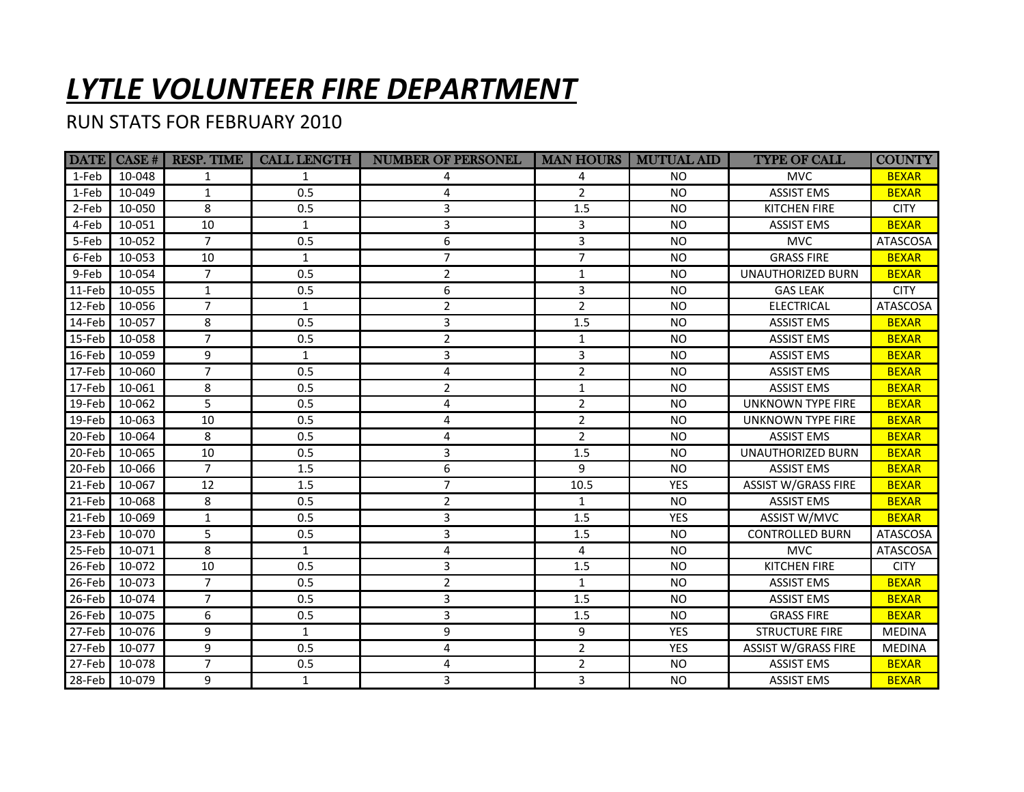## *LYTLE VOLUNTEER FIRE DEPARTMENT*

## RUN STATS FOR FEBRUARY 2010

|                  |               | <b>DATE</b> CASE #   RESP. TIME | <b>CALL LENGTH</b> | <b>NUMBER OF PERSONEL</b> | <b>MAN HOURS</b> | <b>MUTUAL AID</b> | <b>TYPE OF CALL</b>        | <b>COUNTY</b>   |
|------------------|---------------|---------------------------------|--------------------|---------------------------|------------------|-------------------|----------------------------|-----------------|
| 1-Feb            | 10-048        | 1                               | 1                  | 4                         | 4                | N <sub>O</sub>    | <b>MVC</b>                 | <b>BEXAR</b>    |
| 1-Feb            | 10-049        | $\mathbf{1}$                    | 0.5                | 4                         | 2                | <b>NO</b>         | <b>ASSIST EMS</b>          | <b>BEXAR</b>    |
| 2-Feb            | 10-050        | 8                               | 0.5                | 3                         | 1.5              | NO.               | <b>KITCHEN FIRE</b>        | <b>CITY</b>     |
| 4-Feb            | 10-051        | 10                              | $\mathbf{1}$       | $\mathbf{3}$              | 3                | <b>NO</b>         | <b>ASSIST EMS</b>          | <b>BEXAR</b>    |
| 5-Feb            | 10-052        | $\overline{7}$                  | 0.5                | 6                         | 3                | NO.               | <b>MVC</b>                 | ATASCOSA        |
| 6-Feb            | 10-053        | 10                              | $\mathbf{1}$       | $\overline{7}$            | $\overline{7}$   | <b>NO</b>         | <b>GRASS FIRE</b>          | <b>BEXAR</b>    |
| 9-Feb            | 10-054        | $\overline{7}$                  | 0.5                | $\overline{2}$            | $\mathbf{1}$     | <b>NO</b>         | UNAUTHORIZED BURN          | <b>BEXAR</b>    |
| 11-Feb           | 10-055        | $\mathbf{1}$                    | 0.5                | 6                         | 3                | <b>NO</b>         | <b>GAS LEAK</b>            | <b>CITY</b>     |
| $12$ -Feb        | 10-056        | $\overline{7}$                  | 1                  | $\overline{2}$            | $\overline{2}$   | <b>NO</b>         | <b>ELECTRICAL</b>          | <b>ATASCOSA</b> |
| $14-Feb$         | 10-057        | 8                               | 0.5                | 3                         | 1.5              | <b>NO</b>         | <b>ASSIST EMS</b>          | <b>BEXAR</b>    |
| $15-Feb$         | 10-058        | $\overline{7}$                  | 0.5                | 2                         | $\mathbf{1}$     | <b>NO</b>         | <b>ASSIST EMS</b>          | <b>BEXAR</b>    |
| 16-Feb           | 10-059        | 9                               | $\mathbf{1}$       | $\overline{3}$            | 3                | <b>NO</b>         | <b>ASSIST EMS</b>          | <b>BEXAR</b>    |
| $17-Feb$         | 10-060        | $\overline{7}$                  | 0.5                | $\overline{4}$            | $\overline{2}$   | <b>NO</b>         | <b>ASSIST EMS</b>          | <b>BEXAR</b>    |
| $17-Feb$         | 10-061        | 8                               | 0.5                | $\overline{2}$            | $\mathbf{1}$     | <b>NO</b>         | <b>ASSIST EMS</b>          | <b>BEXAR</b>    |
| 19-Feb           | 10-062        | $\overline{5}$                  | 0.5                | $\overline{4}$            | $\overline{2}$   | <b>NO</b>         | <b>UNKNOWN TYPE FIRE</b>   | <b>BEXAR</b>    |
| $19$ -Feb        | 10-063        | 10                              | 0.5                | $\overline{4}$            | $\overline{2}$   | <b>NO</b>         | UNKNOWN TYPE FIRE          | <b>BEXAR</b>    |
| 20-Feb           | 10-064        | 8                               | 0.5                | 4                         | $\overline{2}$   | <b>NO</b>         | <b>ASSIST EMS</b>          | <b>BEXAR</b>    |
| $\sqrt{20}$ -Feb | 10-065        | 10                              | 0.5                | 3                         | 1.5              | NO                | UNAUTHORIZED BURN          | <b>BEXAR</b>    |
| 20-Feb           | 10-066        | $\overline{7}$                  | 1.5                | 6                         | 9                | <b>NO</b>         | <b>ASSIST EMS</b>          | <b>BEXAR</b>    |
| $21$ -Feb        | 10-067        | 12                              | 1.5                | $\overline{7}$            | 10.5             | <b>YES</b>        | <b>ASSIST W/GRASS FIRE</b> | <b>BEXAR</b>    |
| $21$ -Feb        | 10-068        | 8                               | 0.5                | $\overline{2}$            | $\mathbf{1}$     | <b>NO</b>         | <b>ASSIST EMS</b>          | <b>BEXAR</b>    |
| $\sqrt{21-Feb}$  | 10-069        | $\mathbf{1}$                    | 0.5                | 3                         | 1.5              | <b>YES</b>        | ASSIST W/MVC               | <b>BEXAR</b>    |
| $23$ -Feb        | 10-070        | 5                               | 0.5                | 3                         | 1.5              | <b>NO</b>         | <b>CONTROLLED BURN</b>     | <b>ATASCOSA</b> |
| $25-Feb$         | 10-071        | 8                               | 1                  | 4                         | 4                | <b>NO</b>         | <b>MVC</b>                 | ATASCOSA        |
| $26$ -Feb        | 10-072        | 10                              | 0.5                | 3                         | 1.5              | <b>NO</b>         | <b>KITCHEN FIRE</b>        | <b>CITY</b>     |
| $26$ -Feb        | 10-073        | $\overline{7}$                  | 0.5                | 2                         | $\mathbf{1}$     | <b>NO</b>         | <b>ASSIST EMS</b>          | <b>BEXAR</b>    |
| 26-Feb           | 10-074        | $\overline{7}$                  | 0.5                | 3                         | 1.5              | <b>NO</b>         | <b>ASSIST EMS</b>          | <b>BEXAR</b>    |
| 26-Feb           | 10-075        | 6                               | 0.5                | 3                         | 1.5              | <b>NO</b>         | <b>GRASS FIRE</b>          | <b>BEXAR</b>    |
| $27$ -Feb        | 10-076        | $\overline{9}$                  | $\mathbf{1}$       | 9                         | 9                | <b>YES</b>        | <b>STRUCTURE FIRE</b>      | <b>MEDINA</b>   |
| $27$ -Feb        | 10-077        | 9                               | 0.5                | $\overline{4}$            | $\overline{2}$   | <b>YES</b>        | <b>ASSIST W/GRASS FIRE</b> | <b>MEDINA</b>   |
| $27-Feb$         | 10-078        | $\overline{7}$                  | 0.5                | 4                         | $\overline{2}$   | <b>NO</b>         | <b>ASSIST EMS</b>          | <b>BEXAR</b>    |
|                  | 28-Feb 10-079 | 9                               | $\mathbf{1}$       | 3                         | $\overline{3}$   | NO                | <b>ASSIST EMS</b>          | <b>BEXAR</b>    |